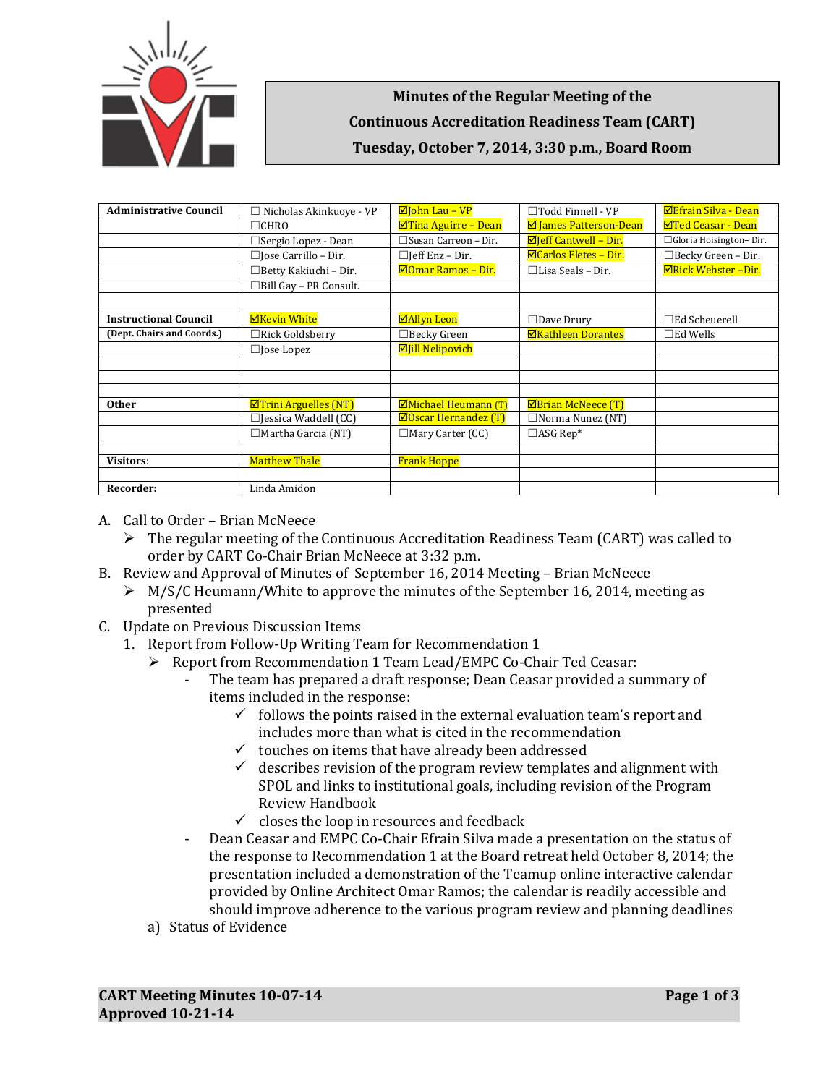

**Minutes of the Regular Meeting of the Continuous Accreditation Readiness Team (CART) Tuesday, October 7, 2014, 3:30 p.m., Board Room**

| <b>Administrative Council</b> | $\Box$ Nicholas Akinkuove - VP              | $\Box$ John Lau - VP          | $\Box$ Todd Finnell - VP      | <b>ØEfrain Silva - Dean</b> |
|-------------------------------|---------------------------------------------|-------------------------------|-------------------------------|-----------------------------|
|                               | $\Box$ CHRO                                 | $\Box$ Tina Aguirre – Dean    | <b>Ø</b> James Patterson-Dean | <b>⊠Ted Ceasar - Dean</b>   |
|                               | □ Sergio Lopez - Dean                       | $\Box$ Susan Carreon - Dir.   | $\Box$ Jeff Cantwell - Dir.   | □ Gloria Hoisington-Dir.    |
|                               | $\Box$ Jose Carrillo – Dir.                 | $\Box$ Jeff Enz – Dir.        | $\Xi$ Carlos Fletes - Dir.    | $\Box$ Becky Green - Dir.   |
|                               | $\Box$ Betty Kakiuchi - Dir.                | $\boxdot$ Omar Ramos – Dir.   | $\Box$ Lisa Seals – Dir.      | <b>ØRick Webster-Dir.</b>   |
|                               | $\Box$ Bill Gay - PR Consult.               |                               |                               |                             |
|                               |                                             |                               |                               |                             |
| <b>Instructional Council</b>  | <b>ØKevin White</b>                         | <b>ØAllyn Leon</b>            | $\Box$ Dave Drury             | $\Box$ Ed Scheuerell        |
| (Dept. Chairs and Coords.)    | $\Box$ Rick Goldsberry                      | $\Box$ Becky Green            | <b>ØKathleen Dorantes</b>     | $\square$ Ed Wells          |
|                               | $\Box$ Jose Lopez                           | <b>Ø</b> Jill Nelipovich      |                               |                             |
|                               |                                             |                               |                               |                             |
|                               |                                             |                               |                               |                             |
|                               |                                             |                               |                               |                             |
| <b>Other</b>                  | $\boxed{\blacksquare}$ Trini Arguelles (NT) | <b>ØMichael Heumann</b> (T)   | <b>ØBrian McNeece (T)</b>     |                             |
|                               | $\Box$ Jessica Waddell (CC)                 | $\boxdot$ Oscar Hernandez (T) | $\Box$ Norma Nunez (NT)       |                             |
|                               | $\Box$ Martha Garcia (NT)                   | $\Box$ Mary Carter (CC)       | $\Box$ ASG Rep*               |                             |
|                               |                                             |                               |                               |                             |
| <b>Visitors:</b>              | <b>Matthew Thale</b>                        | <b>Frank Hoppe</b>            |                               |                             |
|                               |                                             |                               |                               |                             |
| Recorder:                     | Linda Amidon                                |                               |                               |                             |

- A. Call to Order Brian McNeece
	- $\triangleright$  The regular meeting of the Continuous Accreditation Readiness Team (CART) was called to order by CART Co-Chair Brian McNeece at 3:32 p.m.
- B. Review and Approval of Minutes of September 16, 2014 Meeting Brian McNeece
	- $\triangleright$  M/S/C Heumann/White to approve the minutes of the September 16, 2014, meeting as presented
- C. Update on Previous Discussion Items
	- 1. Report from Follow-Up Writing Team for Recommendation 1
		- Report from Recommendation 1 Team Lead/EMPC Co-Chair Ted Ceasar:
			- The team has prepared a draft response; Dean Ceasar provided a summary of items included in the response:
				- $\checkmark$  follows the points raised in the external evaluation team's report and includes more than what is cited in the recommendation
				- $\checkmark$  touches on items that have already been addressed
				- $\checkmark$  describes revision of the program review templates and alignment with SPOL and links to institutional goals, including revision of the Program Review Handbook
				- $\checkmark$  closes the loop in resources and feedback
			- Dean Ceasar and EMPC Co-Chair Efrain Silva made a presentation on the status of the response to Recommendation 1 at the Board retreat held October 8, 2014; the presentation included a demonstration of the Teamup online interactive calendar provided by Online Architect Omar Ramos; the calendar is readily accessible and should improve adherence to the various program review and planning deadlines
		- a) Status of Evidence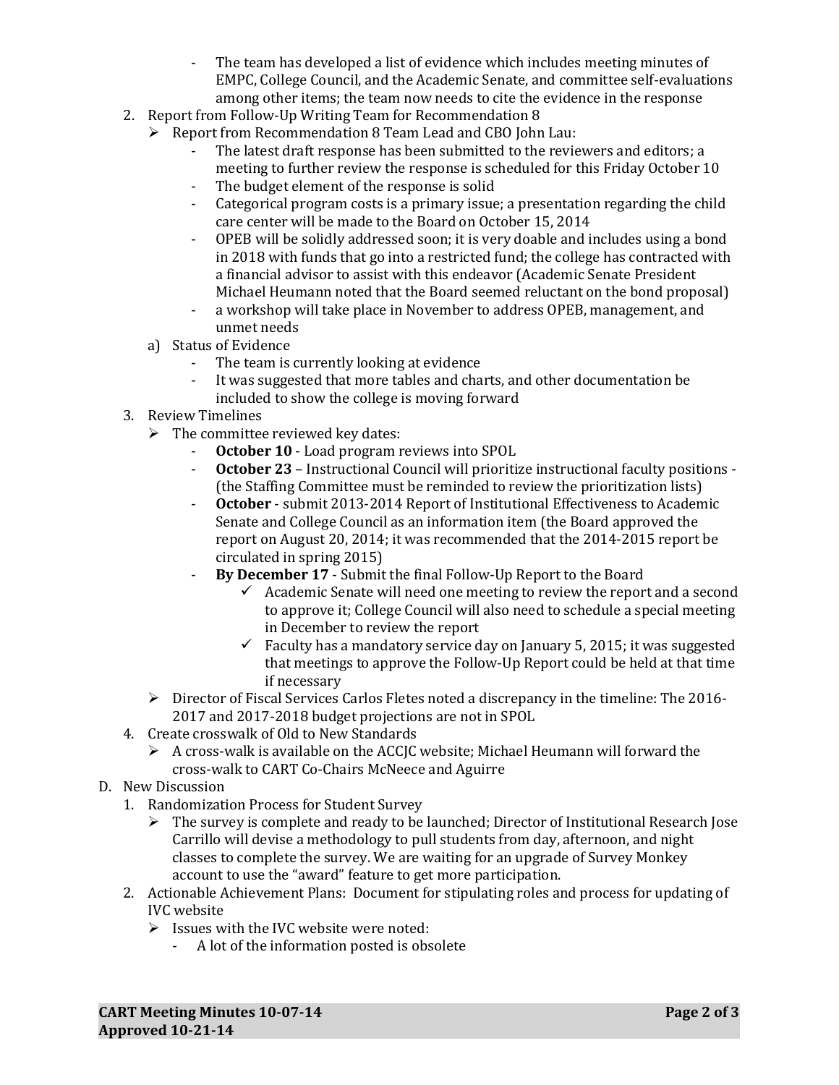- The team has developed a list of evidence which includes meeting minutes of EMPC, College Council, and the Academic Senate, and committee self-evaluations among other items; the team now needs to cite the evidence in the response
- 2. Report from Follow-Up Writing Team for Recommendation 8
	- $\triangleright$  Report from Recommendation 8 Team Lead and CBO John Lau:
		- The latest draft response has been submitted to the reviewers and editors; a meeting to further review the response is scheduled for this Friday October 10
		- The budget element of the response is solid
		- Categorical program costs is a primary issue; a presentation regarding the child care center will be made to the Board on October 15, 2014
		- OPEB will be solidly addressed soon; it is very doable and includes using a bond in 2018 with funds that go into a restricted fund; the college has contracted with a financial advisor to assist with this endeavor (Academic Senate President Michael Heumann noted that the Board seemed reluctant on the bond proposal)
		- a workshop will take place in November to address OPEB, management, and unmet needs
	- a) Status of Evidence
		- The team is currently looking at evidence
		- It was suggested that more tables and charts, and other documentation be included to show the college is moving forward
- 3. Review Timelines
	- $\triangleright$  The committee reviewed key dates:
		- **October 10** Load program reviews into SPOL
		- **October 23**  Instructional Council will prioritize instructional faculty positions (the Staffing Committee must be reminded to review the prioritization lists)
		- October submit 2013-2014 Report of Institutional Effectiveness to Academic Senate and College Council as an information item (the Board approved the report on August 20, 2014; it was recommended that the 2014-2015 report be circulated in spring 2015)
		- **By December 17** Submit the final Follow-Up Report to the Board
			- $\checkmark$  Academic Senate will need one meeting to review the report and a second to approve it; College Council will also need to schedule a special meeting in December to review the report
			- $\checkmark$  Faculty has a mandatory service day on January 5, 2015; it was suggested that meetings to approve the Follow-Up Report could be held at that time if necessary
	- $\triangleright$  Director of Fiscal Services Carlos Fletes noted a discrepancy in the timeline: The 2016-2017 and 2017-2018 budget projections are not in SPOL
- 4. Create crosswalk of Old to New Standards
	- $\triangleright$  A cross-walk is available on the ACCJC website; Michael Heumann will forward the cross-walk to CART Co-Chairs McNeece and Aguirre
- D. New Discussion
	- 1. Randomization Process for Student Survey
		- $\triangleright$  The survey is complete and ready to be launched; Director of Institutional Research Jose Carrillo will devise a methodology to pull students from day, afternoon, and night classes to complete the survey. We are waiting for an upgrade of Survey Monkey account to use the "award" feature to get more participation.
	- 2. Actionable Achievement Plans: Document for stipulating roles and process for updating of IVC website
		- $\triangleright$  Issues with the IVC website were noted:
			- A lot of the information posted is obsolete